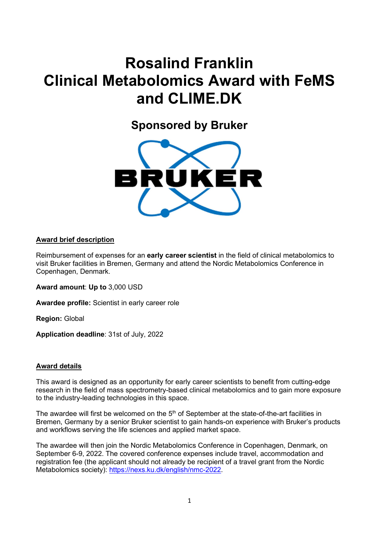# Rosalind Franklin Clinical Metabolomics Award with FeMS and CLIME.DK

Sponsored by Bruker



# Award brief description

Reimbursement of expenses for an **early career scientist** in the field of clinical metabolomics to visit Bruker facilities in Bremen, Germany and attend the Nordic Metabolomics Conference in Copenhagen, Denmark.

Award amount: Up to 3,000 USD

Awardee profile: Scientist in early career role

Region: Global

Application deadline: 31st of July, 2022

# Award details

This award is designed as an opportunity for early career scientists to benefit from cutting-edge research in the field of mass spectrometry-based clinical metabolomics and to gain more exposure to the industry-leading technologies in this space.

The awardee will first be welcomed on the 5<sup>th</sup> of September at the state-of-the-art facilities in Bremen, Germany by a senior Bruker scientist to gain hands-on experience with Bruker's products and workflows serving the life sciences and applied market space.

The awardee will then join the Nordic Metabolomics Conference in Copenhagen, Denmark, on September 6-9, 2022. The covered conference expenses include travel, accommodation and registration fee (the applicant should not already be recipient of a travel grant from the Nordic Metabolomics society): https://nexs.ku.dk/english/nmc-2022.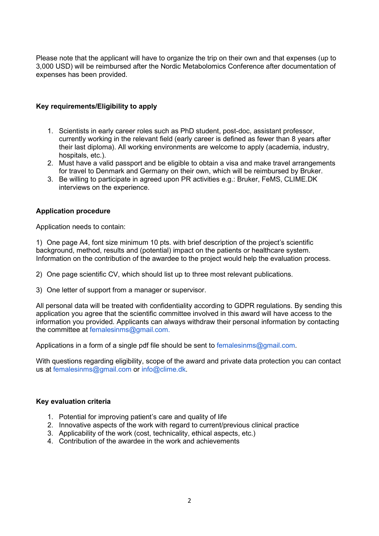Please note that the applicant will have to organize the trip on their own and that expenses (up to 3,000 USD) will be reimbursed after the Nordic Metabolomics Conference after documentation of expenses has been provided.

# Key requirements/Eligibility to apply

- 1. Scientists in early career roles such as PhD student, post-doc, assistant professor, currently working in the relevant field (early career is defined as fewer than 8 years after their last diploma). All working environments are welcome to apply (academia, industry, hospitals, etc.).
- 2. Must have a valid passport and be eligible to obtain a visa and make travel arrangements for travel to Denmark and Germany on their own, which will be reimbursed by Bruker.
- 3. Be willing to participate in agreed upon PR activities e.g.: Bruker, FeMS, CLIME.DK interviews on the experience.

# Application procedure

Application needs to contain:

1) One page A4, font size minimum 10 pts. with brief description of the project's scientific background, method, results and (potential) impact on the patients or healthcare system. Information on the contribution of the awardee to the project would help the evaluation process.

2) One page scientific CV, which should list up to three most relevant publications.

3) One letter of support from a manager or supervisor.

All personal data will be treated with confidentiality according to GDPR regulations. By sending this application you agree that the scientific committee involved in this award will have access to the information you provided. Applicants can always withdraw their personal information by contacting the committee at femalesinms@gmail.com.

Applications in a form of a single pdf file should be sent to femalesinms@gmail.com.

With questions regarding eligibility, scope of the award and private data protection you can contact us at femalesinms@gmail.com or info@clime.dk.

# Key evaluation criteria

- 1. Potential for improving patient's care and quality of life
- 2. Innovative aspects of the work with regard to current/previous clinical practice
- 3. Applicability of the work (cost, technicality, ethical aspects, etc.)
- 4. Contribution of the awardee in the work and achievements